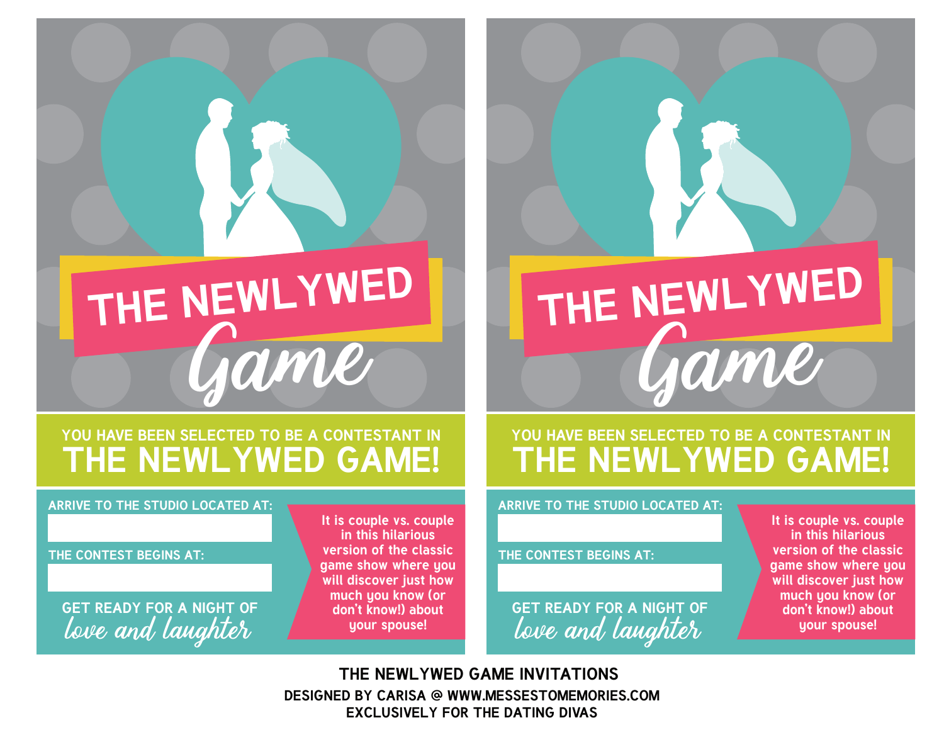# **THE NEWLYWED** Game

### **YOU HAVE BEEN SELECTED TO BE A CONTESTANT IN THE NEWLYWED GAME!**

#### **ARRIVE TO THE STUDIO LOCATED AT:**

#### **THE CONTEST BEGINS AT:**

**GET READY FOR A NIGHT OF** love and laughter

**It is couple vs. couple in this hilarious version of the classic game show where you will discover just how much you know (or don't know!) about your spouse!**

## **THE NEWLYWED** Game

## **YOU HAVE BEEN SELECTED TO BE A CONTESTANT IN THE NEWLYWED GAME!**

#### **ARRIVE TO THE STUDIO LOCATED AT:**

**THE CONTEST BEGINS AT:**

**GET READY FOR A NIGHT OF** love and laughter

**It is couple vs. couple in this hilarious version of the classic game show where you will discover just how much you know (or don't know!) about your spouse!**

**DESIGNED BY CARISA @ WWW.MESSESTOMEMORIES.COM EXCLUSIVELY FOR THE DATING DIVAS THE NEWLYWED GAME INVITATIONS**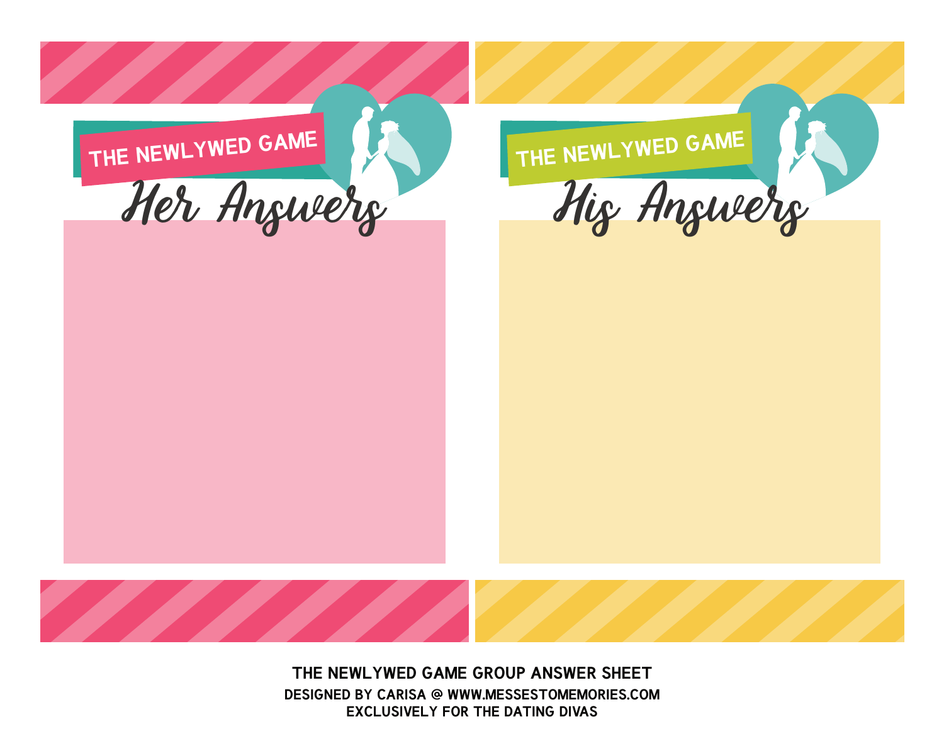

**DESIGNED BY CARISA @ WWW.MESSESTOMEMORIES.COM EXCLUSIVELY FOR THE DATING DIVAS THE NEWLYWED GAME GROUP ANSWER SHEET**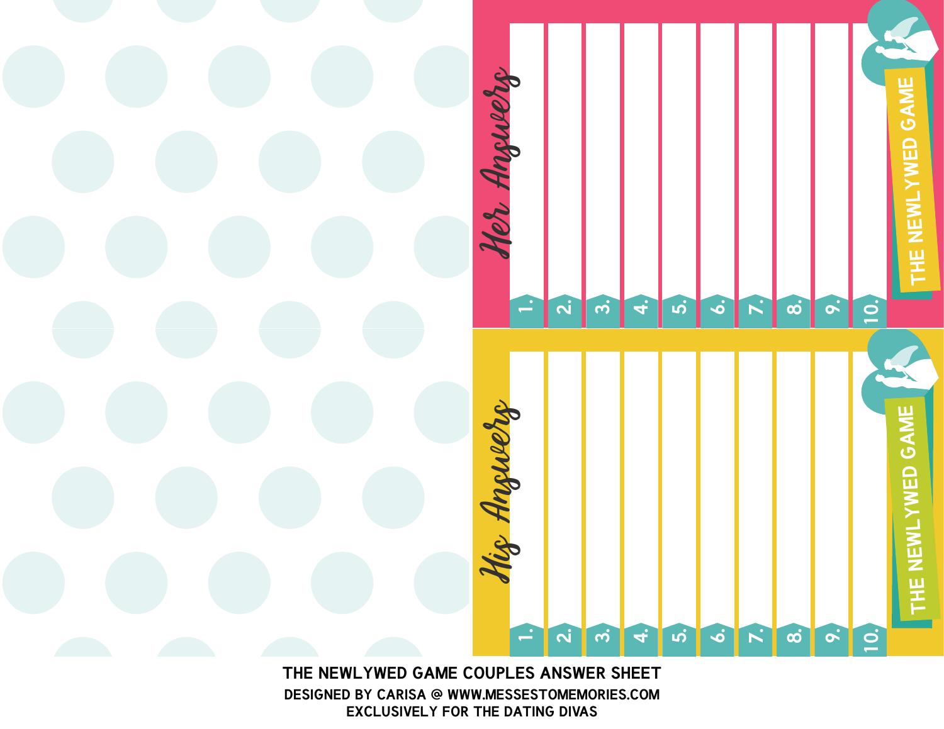

**DESIGNED BY CARISA @ WWW.MESSESTOMEMORIES.COM EXCLUSIVELY FOR THE DATING DIVAS**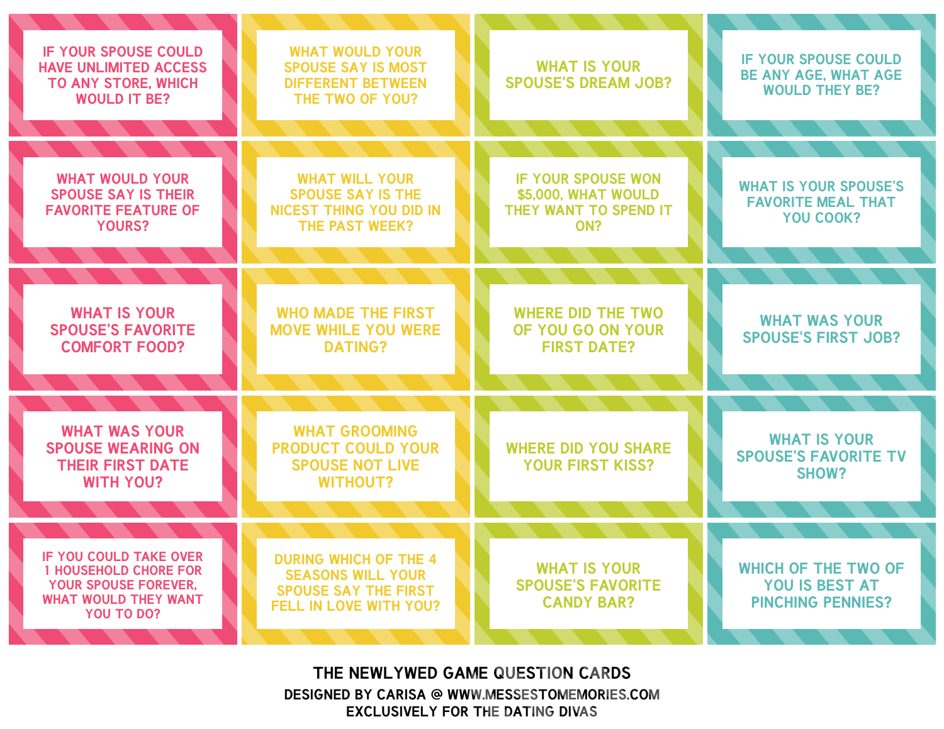| <b>IF YOUR SPOUSE COULD</b><br><b>HAVE UNLIMITED ACCESS</b><br><b>TO ANY STORE, WHICH</b><br><b>WOULD IT BE?</b>                          | <b>WHAT WOULD YOUR</b><br><b>SPOUSE SAY IS MOST</b><br><b>DIFFERENT BETWEEN</b><br>THE TWO OF YOU?                       | <b>WHAT IS YOUR</b><br><b>SPOUSE'S DREAM JOB?</b>                                | <b>IF YOUR SPOUSE COULD</b><br><b>BE ANY AGE, WHAT AGE</b><br><b>WOULD THEY BE?</b> |
|-------------------------------------------------------------------------------------------------------------------------------------------|--------------------------------------------------------------------------------------------------------------------------|----------------------------------------------------------------------------------|-------------------------------------------------------------------------------------|
| <b>WHAT WOULD YOUR</b><br><b>SPOUSE SAY IS THEIR</b><br><b>FAVORITE FEATURE OF</b><br><b>YOURS?</b>                                       | <b>WHAT WILL YOUR</b><br><b>SPOUSE SAY IS THE</b><br><b>NICEST THING YOU DID IN</b><br>THE PAST WEEK?                    | <b>IF YOUR SPOUSE WON</b><br>\$5,000. WHAT WOULD<br>THEY WANT TO SPEND IT<br>ON? | <b>WHAT IS YOUR SPOUSE'S</b><br><b>FAVORITE MEAL THAT</b><br>YOU COOK?              |
| <b>WHAT IS YOUR</b><br><b>SPOUSE'S FAVORITE</b><br><b>COMFORT FOOD?</b>                                                                   | <b>WHO MADE THE FIRST</b><br><b>MOVE WHILE YOU WERE</b><br><b>DATING?</b>                                                | <b>WHERE DID THE TWO</b><br>OF YOU GO ON YOUR<br><b>FIRST DATE?</b>              | <b>WHAT WAS YOUR</b><br><b>SPOUSE'S FIRST JOB?</b>                                  |
| <b>WHAT WAS YOUR</b><br><b>SPOUSE WEARING ON</b><br><b>THEIR FIRST DATE</b><br><b>WITH YOU?</b>                                           | <b>WHAT GROOMING</b><br><b>PRODUCT COULD YOUR</b><br><b>SPOUSE NOT LIVE</b><br><b>WITHOUT?</b>                           | <b>WHERE DID YOU SHARE</b><br><b>YOUR FIRST KISS?</b>                            | <b>WHAT IS YOUR</b><br><b>SPOUSE'S FAVORITE TV</b><br>SHOW?                         |
| <b>IF YOU COULD TAKE OVER</b><br><b>1 HOUSEHOLD CHORE FOR</b><br><b>YOUR SPOUSE FOREVER.</b><br><b>WHAT WOULD THEY WANT</b><br>YOU TO DO? | <b>DURING WHICH OF THE 4</b><br><b>SEASONS WILL YOUR</b><br><b>SPOUSE SAY THE FIRST</b><br><b>FELL IN LOVE WITH YOU?</b> | <b>WHAT IS YOUR</b><br><b>SPOUSE'S FAVORITE</b><br><b>CANDY BAR?</b>             | <b>WHICH OF THE TWO OF</b><br><b>YOU IS BEST AT</b><br><b>PINCHING PENNIES?</b>     |

**DESIGNED BY CARISA @ WWW.MESSESTOMEMORIES.COM EXCLUSIVELY FOR THE DATING DIVAS THE NEWLYWED GAME QUESTION CARDS**